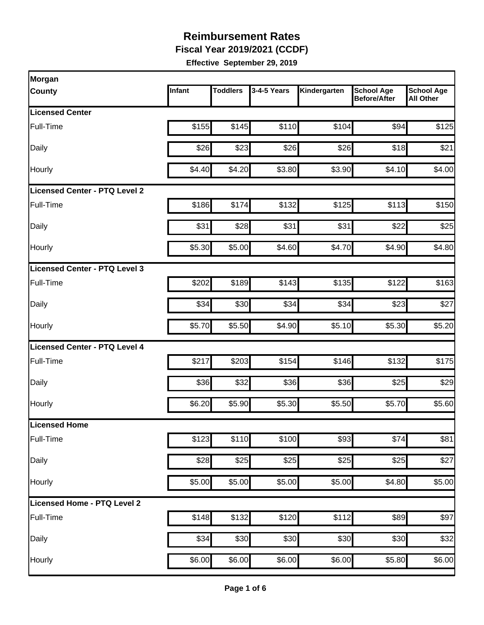**Fiscal Year 2019/2021 (CCDF)** 

| Morgan                               |        |                 |             |              |                                          |                                       |
|--------------------------------------|--------|-----------------|-------------|--------------|------------------------------------------|---------------------------------------|
| <b>County</b>                        | Infant | <b>Toddlers</b> | 3-4-5 Years | Kindergarten | <b>School Age</b><br><b>Before/After</b> | <b>School Age</b><br><b>All Other</b> |
| Licensed Center                      |        |                 |             |              |                                          |                                       |
| Full-Time                            | \$155  | \$145           | \$110       | \$104        | \$94                                     | \$125                                 |
| Daily                                | \$26   | \$23            | \$26        | \$26         | \$18                                     | \$21                                  |
| Hourly                               | \$4.40 | \$4.20          | \$3.80      | \$3.90       | \$4.10                                   | \$4.00                                |
| <b>Licensed Center - PTQ Level 2</b> |        |                 |             |              |                                          |                                       |
| Full-Time                            | \$186  | \$174           | \$132       | \$125        | \$113                                    | \$150                                 |
| Daily                                | \$31   | \$28            | \$31        | \$31         | \$22                                     | \$25                                  |
| Hourly                               | \$5.30 | \$5.00          | \$4.60      | \$4.70       | \$4.90                                   | \$4.80                                |
| Licensed Center - PTQ Level 3        |        |                 |             |              |                                          |                                       |
| Full-Time                            | \$202  | \$189           | \$143       | \$135        | \$122                                    | \$163                                 |
| Daily                                | \$34   | \$30            | \$34        | \$34         | \$23                                     | \$27                                  |
| Hourly                               | \$5.70 | \$5.50          | \$4.90      | \$5.10       | \$5.30                                   | \$5.20                                |
| Licensed Center - PTQ Level 4        |        |                 |             |              |                                          |                                       |
| Full-Time                            | \$217  | \$203           | \$154       | \$146        | \$132                                    | \$175                                 |
| Daily                                | \$36   | \$32            | \$36        | \$36         | \$25                                     | \$29                                  |
| Hourly                               | \$6.20 | \$5.90          | \$5.30      | \$5.50       | \$5.70                                   | \$5.60                                |
| Licensed Home                        |        |                 |             |              |                                          |                                       |
| Full-Time                            | \$123  | \$110           | \$100       | \$93         | \$74                                     | \$81                                  |
| Daily                                | \$28   | \$25            | \$25        | \$25         | \$25                                     | \$27                                  |
| Hourly                               | \$5.00 | \$5.00          | \$5.00      | \$5.00       | \$4.80                                   | \$5.00                                |
| Licensed Home - PTQ Level 2          |        |                 |             |              |                                          |                                       |
| Full-Time                            | \$148  | \$132           | \$120       | \$112        | \$89                                     | \$97                                  |
| Daily                                | \$34   | \$30            | \$30        | \$30         | \$30                                     | \$32                                  |
| Hourly                               | \$6.00 | \$6.00          | \$6.00      | \$6.00       | \$5.80                                   | \$6.00                                |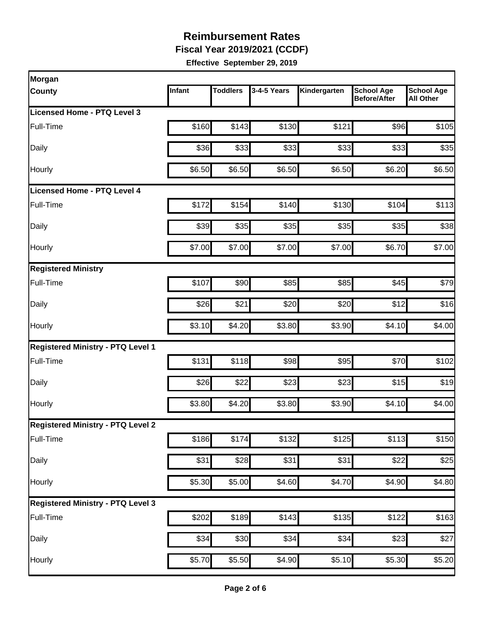**Fiscal Year 2019/2021 (CCDF)** 

| Morgan                                   |        |                 |             |                    |                                   |                                       |
|------------------------------------------|--------|-----------------|-------------|--------------------|-----------------------------------|---------------------------------------|
| <b>County</b>                            | Infant | <b>Toddlers</b> | 3-4-5 Years | Kindergarten       | <b>School Age</b><br>Before/After | <b>School Age</b><br><b>All Other</b> |
| Licensed Home - PTQ Level 3              |        |                 |             |                    |                                   |                                       |
| Full-Time                                | \$160  | \$143           | \$130       | \$121              | \$96                              | \$105                                 |
| Daily                                    | \$36   | \$33            | \$33        | \$33               | \$33                              | \$35                                  |
| Hourly                                   | \$6.50 | \$6.50          | \$6.50      | \$6.50             | \$6.20                            | \$6.50                                |
| <b>Licensed Home - PTQ Level 4</b>       |        |                 |             |                    |                                   |                                       |
| Full-Time                                | \$172  | \$154           | \$140       | \$130              | \$104                             | \$113                                 |
| Daily                                    | \$39   | \$35            | \$35        | \$35               | \$35                              | \$38                                  |
| Hourly                                   | \$7.00 | \$7.00          | \$7.00      | \$7.00             | \$6.70                            | \$7.00                                |
| <b>Registered Ministry</b>               |        |                 |             |                    |                                   |                                       |
| Full-Time                                | \$107  | \$90            | \$85        | \$85               | \$45                              | \$79                                  |
| Daily                                    | \$26   | \$21            | \$20        | \$20               | \$12                              | \$16                                  |
| Hourly                                   | \$3.10 | \$4.20          | \$3.80      | \$3.90             | \$4.10                            | \$4.00                                |
| <b>Registered Ministry - PTQ Level 1</b> |        |                 |             |                    |                                   |                                       |
| Full-Time                                | \$131  | \$118           | \$98        | \$95               | \$70                              | \$102                                 |
| Daily                                    | \$26   | \$22            | \$23        | \$23               | \$15                              | \$19                                  |
| Hourly                                   | \$3.80 | \$4.20          | \$3.80      | \$3.90             | \$4.10                            | \$4.00                                |
| <b>Registered Ministry - PTQ Level 2</b> |        |                 |             |                    |                                   |                                       |
| Full-Time                                | \$186  | \$174           | \$132       | \$125              | $\overline{$}113$                 | $\overline{$}150$                     |
| Daily                                    | \$31   | \$28            | \$31        | \$31               | \$22                              | \$25                                  |
| Hourly                                   | \$5.30 | \$5.00          | \$4.60      | \$4.70             | \$4.90                            | \$4.80                                |
| <b>Registered Ministry - PTQ Level 3</b> |        |                 |             |                    |                                   |                                       |
| Full-Time                                | \$202  | \$189           | \$143       | \$135              | \$122                             | \$163                                 |
| Daily                                    | \$34   | \$30            | \$34        | \$34               | \$23                              | \$27                                  |
| Hourly                                   | \$5.70 | \$5.50          | \$4.90      | $\overline{$5.10}$ | \$5.30                            | \$5.20                                |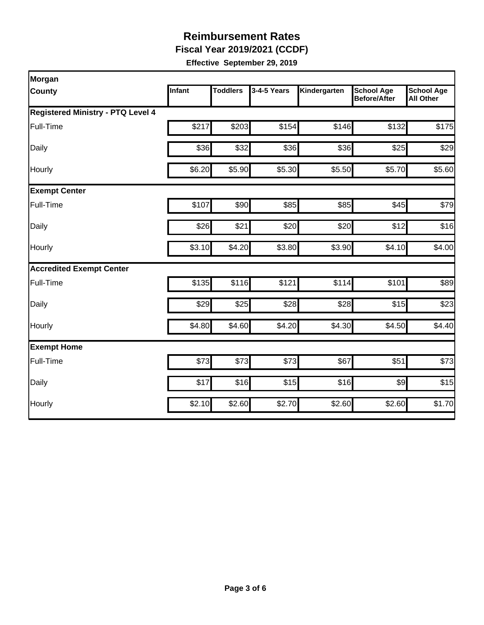**Fiscal Year 2019/2021 (CCDF)** 

| Morgan                                   |        |                 |             |              |                                          |                                       |  |  |  |
|------------------------------------------|--------|-----------------|-------------|--------------|------------------------------------------|---------------------------------------|--|--|--|
| <b>County</b>                            | Infant | <b>Toddlers</b> | 3-4-5 Years | Kindergarten | <b>School Age</b><br><b>Before/After</b> | <b>School Age</b><br><b>All Other</b> |  |  |  |
| <b>Registered Ministry - PTQ Level 4</b> |        |                 |             |              |                                          |                                       |  |  |  |
| Full-Time                                | \$217  | \$203           | \$154       | \$146        | \$132                                    | \$175                                 |  |  |  |
| Daily                                    | \$36   | \$32            | \$36        | \$36         | \$25                                     | \$29                                  |  |  |  |
| Hourly                                   | \$6.20 | \$5.90          | \$5.30      | \$5.50       | \$5.70                                   | \$5.60                                |  |  |  |
| <b>Exempt Center</b>                     |        |                 |             |              |                                          |                                       |  |  |  |
| Full-Time                                | \$107  | \$90            | \$85        | \$85         | \$45                                     | \$79                                  |  |  |  |
| Daily                                    | \$26   | \$21            | \$20        | \$20         | \$12                                     | \$16                                  |  |  |  |
| Hourly                                   | \$3.10 | \$4.20          | \$3.80      | \$3.90       | \$4.10                                   | \$4.00                                |  |  |  |
| <b>Accredited Exempt Center</b>          |        |                 |             |              |                                          |                                       |  |  |  |
| Full-Time                                | \$135  | \$116           | \$121       | \$114        | \$101                                    | \$89                                  |  |  |  |
| Daily                                    | \$29   | \$25            | \$28        | \$28         | \$15                                     | \$23                                  |  |  |  |
| Hourly                                   | \$4.80 | \$4.60          | \$4.20      | \$4.30       | \$4.50                                   | \$4.40                                |  |  |  |
| <b>Exempt Home</b>                       |        |                 |             |              |                                          |                                       |  |  |  |
| Full-Time                                | \$73   | \$73            | \$73        | \$67         | \$51                                     | \$73                                  |  |  |  |
| Daily                                    | \$17   | \$16            | \$15        | \$16         | $\frac{1}{2}$                            | \$15                                  |  |  |  |
| Hourly                                   | \$2.10 | \$2.60          | \$2.70      | \$2.60       | \$2.60                                   | \$1.70                                |  |  |  |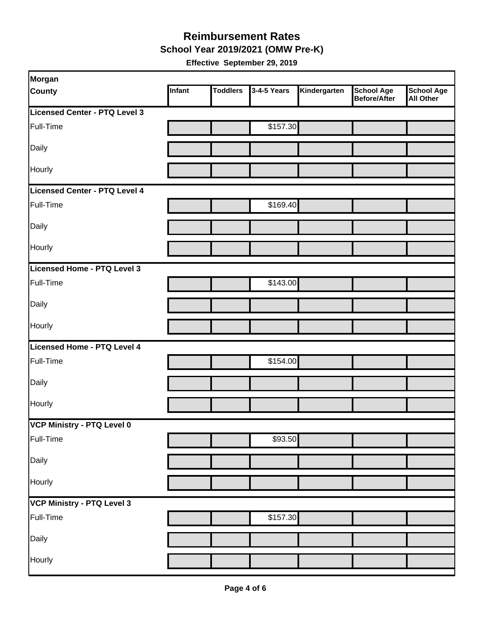#### **Reimbursement Rates School Year 2019/2021 (OMW Pre-K)**

| Morgan                        |        |                 |             |              |                                          |                                       |
|-------------------------------|--------|-----------------|-------------|--------------|------------------------------------------|---------------------------------------|
| <b>County</b>                 | Infant | <b>Toddlers</b> | 3-4-5 Years | Kindergarten | <b>School Age</b><br><b>Before/After</b> | <b>School Age</b><br><b>All Other</b> |
| Licensed Center - PTQ Level 3 |        |                 |             |              |                                          |                                       |
| Full-Time                     |        |                 | \$157.30    |              |                                          |                                       |
| Daily                         |        |                 |             |              |                                          |                                       |
| <b>Hourly</b>                 |        |                 |             |              |                                          |                                       |
| Licensed Center - PTQ Level 4 |        |                 |             |              |                                          |                                       |
| Full-Time                     |        |                 | \$169.40    |              |                                          |                                       |
| Daily                         |        |                 |             |              |                                          |                                       |
| Hourly                        |        |                 |             |              |                                          |                                       |
| Licensed Home - PTQ Level 3   |        |                 |             |              |                                          |                                       |
| Full-Time                     |        |                 | \$143.00    |              |                                          |                                       |
| Daily                         |        |                 |             |              |                                          |                                       |
| Hourly                        |        |                 |             |              |                                          |                                       |
| Licensed Home - PTQ Level 4   |        |                 |             |              |                                          |                                       |
| Full-Time                     |        |                 | \$154.00    |              |                                          |                                       |
| Daily                         |        |                 |             |              |                                          |                                       |
| Hourly                        |        |                 |             |              |                                          |                                       |
| VCP Ministry - PTQ Level 0    |        |                 |             |              |                                          |                                       |
| Full-Time                     |        |                 | \$93.50     |              |                                          |                                       |
| Daily                         |        |                 |             |              |                                          |                                       |
| Hourly                        |        |                 |             |              |                                          |                                       |
| VCP Ministry - PTQ Level 3    |        |                 |             |              |                                          |                                       |
| Full-Time                     |        |                 | \$157.30    |              |                                          |                                       |
| Daily                         |        |                 |             |              |                                          |                                       |
| Hourly                        |        |                 |             |              |                                          |                                       |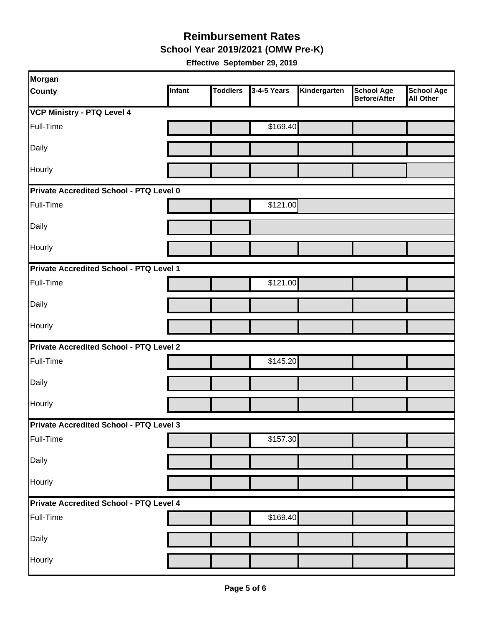**School Year 2019/2021 (OMW Pre-K)** 

| Morgan                                         |        |                 |             |              |                                   |                                       |
|------------------------------------------------|--------|-----------------|-------------|--------------|-----------------------------------|---------------------------------------|
| County                                         | Infant | <b>Toddlers</b> | 3-4-5 Years | Kindergarten | <b>School Age</b><br>Before/After | <b>School Age</b><br><b>All Other</b> |
| <b>VCP Ministry - PTQ Level 4</b>              |        |                 |             |              |                                   |                                       |
| Full-Time                                      |        |                 | \$169.40    |              |                                   |                                       |
| Daily                                          |        |                 |             |              |                                   |                                       |
| Hourly                                         |        |                 |             |              |                                   |                                       |
| Private Accredited School - PTQ Level 0        |        |                 |             |              |                                   |                                       |
| Full-Time                                      |        |                 | \$121.00    |              |                                   |                                       |
| Daily                                          |        |                 |             |              |                                   |                                       |
| Hourly                                         |        |                 |             |              |                                   |                                       |
| Private Accredited School - PTQ Level 1        |        |                 |             |              |                                   |                                       |
| Full-Time                                      |        |                 | \$121.00    |              |                                   |                                       |
| Daily                                          |        |                 |             |              |                                   |                                       |
| Hourly                                         |        |                 |             |              |                                   |                                       |
| <b>Private Accredited School - PTQ Level 2</b> |        |                 |             |              |                                   |                                       |
| Full-Time                                      |        |                 | \$145.20    |              |                                   |                                       |
| Daily                                          |        |                 |             |              |                                   |                                       |
| Hourly                                         |        |                 |             |              |                                   |                                       |
| <b>Private Accredited School - PTQ Level 3</b> |        |                 |             |              |                                   |                                       |
| Full-Time                                      |        |                 | \$157.30    |              |                                   |                                       |
| Daily                                          |        |                 |             |              |                                   |                                       |
| Hourly                                         |        |                 |             |              |                                   |                                       |
| Private Accredited School - PTQ Level 4        |        |                 |             |              |                                   |                                       |
| Full-Time                                      |        |                 | \$169.40    |              |                                   |                                       |
| Daily                                          |        |                 |             |              |                                   |                                       |
| Hourly                                         |        |                 |             |              |                                   |                                       |